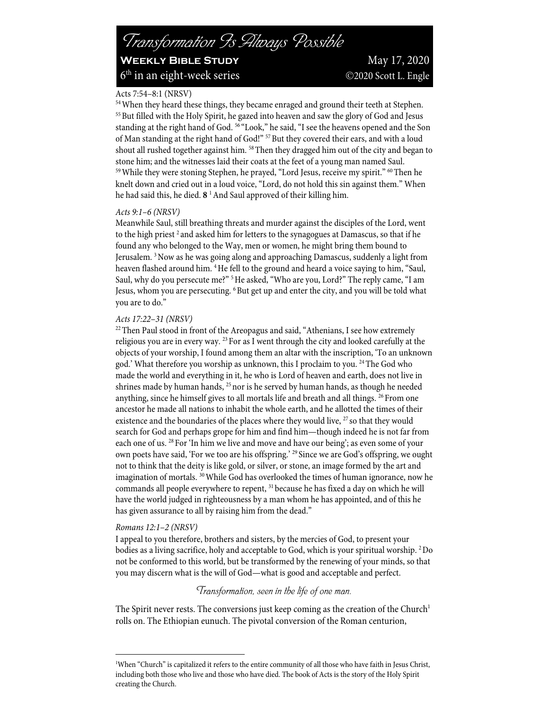Acts 7:54–8:1 (NRSV)<br><sup>54</sup>When they heard these things, they became enraged and ground their teeth at Stephen. <sup>55</sup> But filled with the Holy Spirit, he gazed into heaven and saw the glory of God and Jesus standing at the right hand of God. <sup>56</sup> "Look," he said, "I see the heavens opened and the Son of Man standing at the right hand of God!" <sup>57</sup> But they covered their ears, and with a loud shout all rushed together against him. <sup>58</sup> Then they dragged him out of the city and began to stone him; and the witnesses laid their coats at the feet of a young man named Saul.<br><sup>59</sup>While they were stoning Stephen, he prayed, "Lord Jesus, receive my spirit." <sup>60</sup>Then he knelt down and cried out in a loud voice, "Lord, do not hold this sin against them." When he had said this, he died. **8** 1And Saul approved of their killing him.

#### *Acts 9:1–6 (NRSV)*

Meanwhile Saul, still breathing threats and murder against the disciples of the Lord, went to the high priest  $2$  and asked him for letters to the synagogues at Damascus, so that if he found any who belonged to the Way, men or women, he might bring them bound to Jerusalem. 3Now as he was going along and approaching Damascus, suddenly a light from heaven flashed around him. <sup>4</sup>He fell to the ground and heard a voice saying to him, "Saul, Saul, why do you persecute me?"<sup>5</sup> He asked, "Who are you, Lord?" The reply came, "I am Jesus, whom you are persecuting. <sup>6</sup> But get up and enter the city, and you will be told what you are to do."

#### *Acts 17:22–31 (NRSV)*

<sup>22</sup> Then Paul stood in front of the Areopagus and said, "Athenians, I see how extremely religious you are in every way. 23 For as I went through the city and looked carefully at the objects of your worship, I found among them an altar with the inscription, 'To an unknown god.' What therefore you worship as unknown, this I proclaim to you.<sup>24</sup> The God who made the world and everything in it, he who is Lord of heaven and earth, does not live in shrines made by human hands, 25 nor is he served by human hands, as though he needed anything, since he himself gives to all mortals life and breath and all things. <sup>26</sup> From one ancestor he made all nations to inhabit the whole earth, and he allotted the times of their existence and the boundaries of the places where they would live,  $27$  so that they would search for God and perhaps grope for him and find him—though indeed he is not far from each one of us. 28 For 'In him we live and move and have our being'; as even some of your own poets have said, 'For we too are his offspring.' <sup>29</sup> Since we are God's offspring, we ought not to think that the deity is like gold, or silver, or stone, an image formed by the art and imagination of mortals. 30While God has overlooked the times of human ignorance, now he commands all people everywhere to repent, 31 because he has fixed a day on which he will have the world judged in righteousness by a man whom he has appointed, and of this he has given assurance to all by raising him from the dead."

# *Romans 12:1–2 (NRSV)*

I appeal to you therefore, brothers and sisters, by the mercies of God, to present your bodies as a living sacrifice, holy and acceptable to God, which is your spiritual worship. 2Do not be conformed to this world, but be transformed by the renewing of your minds, so that you may discern what is the will of God—what is good and acceptable and perfect.

# *Transformation, seen in the life of one man.*

The Spirit never rests. The conversions just keep coming as the creation of the Church<sup>1</sup> rolls on. The Ethiopian eunuch. The pivotal conversion of the Roman centurion,

<sup>1</sup> When "Church" is capitalized it refers to the entire community of all those who have faith in Jesus Christ, including both those who live and those who have died. The book of Acts is the story of the Holy Spirit creating the Church.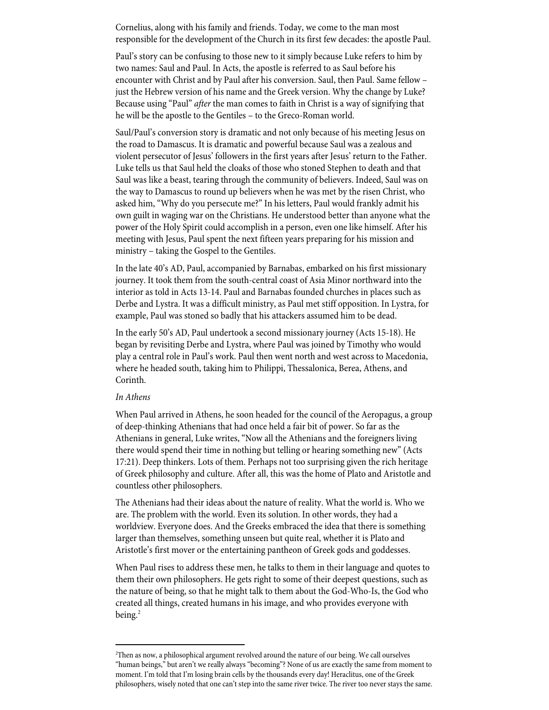Cornelius, along with his family and friends. Today, we come to the man most responsible for the development of the Church in its first few decades: the apostle Paul.

Paul's story can be confusing to those new to it simply because Luke refers to him by two names: Saul and Paul. In Acts, the apostle is referred to as Saul before his encounter with Christ and by Paul after his conversion. Saul, then Paul. Same fellow – just the Hebrew version of his name and the Greek version. Why the change by Luke? Because using "Paul" *after* the man comes to faith in Christ is a way of signifying that he will be the apostle to the Gentiles – to the Greco-Roman world.

Saul/Paul's conversion story is dramatic and not only because of his meeting Jesus on the road to Damascus. It is dramatic and powerful because Saul was a zealous and violent persecutor of Jesus' followers in the first years after Jesus' return to the Father. Luke tells us that Saul held the cloaks of those who stoned Stephen to death and that Saul was like a beast, tearing through the community of believers. Indeed, Saul was on the way to Damascus to round up believers when he was met by the risen Christ, who asked him, "Why do you persecute me?" In his letters, Paul would frankly admit his own guilt in waging war on the Christians. He understood better than anyone what the power of the Holy Spirit could accomplish in a person, even one like himself. After his meeting with Jesus, Paul spent the next fifteen years preparing for his mission and ministry – taking the Gospel to the Gentiles.

In the late 40's AD, Paul, accompanied by Barnabas, embarked on his first missionary journey. It took them from the south-central coast of Asia Minor northward into the interior as told in Acts 13-14. Paul and Barnabas founded churches in places such as Derbe and Lystra. It was a difficult ministry, as Paul met stiff opposition. In Lystra, for example, Paul was stoned so badly that his attackers assumed him to be dead.

In the early 50's AD, Paul undertook a second missionary journey (Acts 15-18). He began by revisiting Derbe and Lystra, where Paul was joined by Timothy who would play a central role in Paul's work. Paul then went north and west across to Macedonia, where he headed south, taking him to Philippi, Thessalonica, Berea, Athens, and Corinth.

#### *In Athens*

When Paul arrived in Athens, he soon headed for the council of the Aeropagus, a group of deep-thinking Athenians that had once held a fair bit of power. So far as the Athenians in general, Luke writes, "Now all the Athenians and the foreigners living there would spend their time in nothing but telling or hearing something new" (Acts 17:21). Deep thinkers. Lots of them. Perhaps not too surprising given the rich heritage of Greek philosophy and culture. After all, this was the home of Plato and Aristotle and countless other philosophers.

The Athenians had their ideas about the nature of reality. What the world is. Who we are. The problem with the world. Even its solution. In other words, they had a worldview. Everyone does. And the Greeks embraced the idea that there is something larger than themselves, something unseen but quite real, whether it is Plato and Aristotle's first mover or the entertaining pantheon of Greek gods and goddesses.

When Paul rises to address these men, he talks to them in their language and quotes to them their own philosophers. He gets right to some of their deepest questions, such as the nature of being, so that he might talk to them about the God-Who-Is, the God who created all things, created humans in his image, and who provides everyone with being.<sup>2</sup>

<sup>2</sup> Then as now, a philosophical argument revolved around the nature of our being. We call ourselves "human beings," but aren't we really always "becoming"? None of us are exactly the same from moment to moment. I'm told that I'm losing brain cells by the thousands every day! Heraclitus, one of the Greek philosophers, wisely noted that one can't step into the same river twice. The river too never stays the same.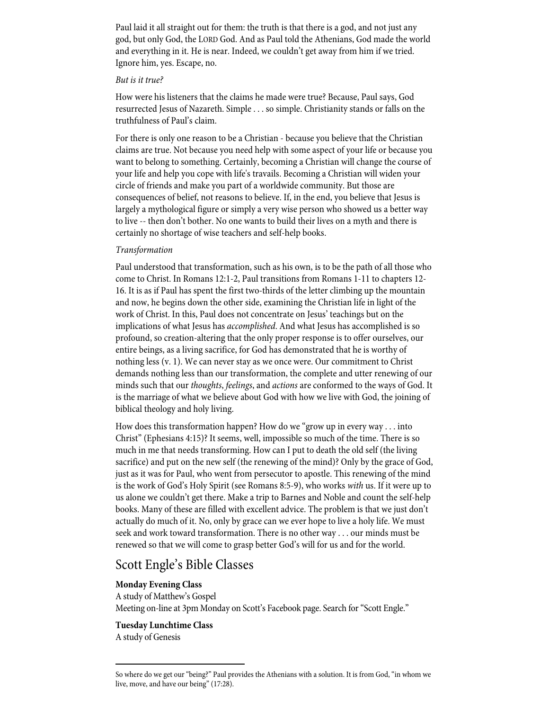Paul laid it all straight out for them: the truth is that there is a god, and not just any god, but only God, the LORD God. And as Paul told the Athenians, God made the world and everything in it. He is near. Indeed, we couldn't get away from him if we tried. Ignore him, yes. Escape, no.

#### *But is it true?*

How were his listeners that the claims he made were true? Because, Paul says, God resurrected Jesus of Nazareth. Simple . . . so simple. Christianity stands or falls on the truthfulness of Paul's claim.

For there is only one reason to be a Christian - because you believe that the Christian claims are true. Not because you need help with some aspect of your life or because you want to belong to something. Certainly, becoming a Christian will change the course of your life and help you cope with life's travails. Becoming a Christian will widen your circle of friends and make you part of a worldwide community. But those are consequences of belief, not reasons to believe. If, in the end, you believe that Jesus is largely a mythological figure or simply a very wise person who showed us a better way to live -- then don't bother. No one wants to build their lives on a myth and there is certainly no shortage of wise teachers and self-help books.

# *Transformation*

Paul understood that transformation, such as his own, is to be the path of all those who come to Christ. In Romans 12:1-2, Paul transitions from Romans 1-11 to chapters 12- 16. It is as if Paul has spent the first two-thirds of the letter climbing up the mountain and now, he begins down the other side, examining the Christian life in light of the work of Christ. In this, Paul does not concentrate on Jesus' teachings but on the implications of what Jesus has *accomplished*. And what Jesus has accomplished is so profound, so creation-altering that the only proper response is to offer ourselves, our entire beings, as a living sacrifice, for God has demonstrated that he is worthy of nothing less (v. 1). We can never stay as we once were. Our commitment to Christ demands nothing less than our transformation, the complete and utter renewing of our minds such that our *thoughts*, *feelings*, and *actions* are conformed to the ways of God. It is the marriage of what we believe about God with how we live with God, the joining of biblical theology and holy living.

How does this transformation happen? How do we "grow up in every way . . . into Christ" (Ephesians 4:15)? It seems, well, impossible so much of the time. There is so much in me that needs transforming. How can I put to death the old self (the living sacrifice) and put on the new self (the renewing of the mind)? Only by the grace of God, just as it was for Paul, who went from persecutor to apostle. This renewing of the mind is the work of God's Holy Spirit (see Romans 8:5-9), who works *with* us. If it were up to us alone we couldn't get there. Make a trip to Barnes and Noble and count the self-help books. Many of these are filled with excellent advice. The problem is that we just don't actually do much of it. No, only by grace can we ever hope to live a holy life. We must seek and work toward transformation. There is no other way . . . our minds must be renewed so that we will come to grasp better God's will for us and for the world.

# Scott Engle's Bible Classes

# **Monday Evening Class**

A study of Matthew's Gospel Meeting on-line at 3pm Monday on Scott's Facebook page. Search for "Scott Engle."

# **Tuesday Lunchtime Class** A study of Genesis

So where do we get our "being?" Paul provides the Athenians with a solution. It is from God, "in whom we live, move, and have our being" (17:28).